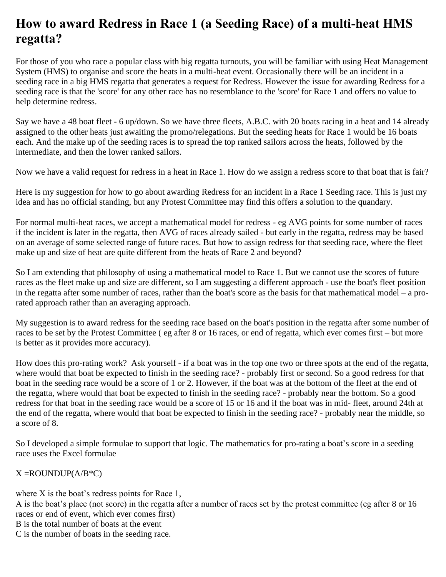## **How to award Redress in Race 1 (a Seeding Race) of a multi-heat HMS regatta?**

For those of you who race a popular class with big regatta turnouts, you will be familiar with using Heat Management System (HMS) to organise and score the heats in a multi-heat event. Occasionally there will be an incident in a seeding race in a big HMS regatta that generates a request for Redress. However the issue for awarding Redress for a seeding race is that the 'score' for any other race has no resemblance to the 'score' for Race 1 and offers no value to help determine redress.

Say we have a 48 boat fleet - 6 up/down. So we have three fleets, A.B.C. with 20 boats racing in a heat and 14 already assigned to the other heats just awaiting the promo/relegations. But the seeding heats for Race 1 would be 16 boats each. And the make up of the seeding races is to spread the top ranked sailors across the heats, followed by the intermediate, and then the lower ranked sailors.

Now we have a valid request for redress in a heat in Race 1. How do we assign a redress score to that boat that is fair?

Here is my suggestion for how to go about awarding Redress for an incident in a Race 1 Seeding race. This is just my idea and has no official standing, but any Protest Committee may find this offers a solution to the quandary.

For normal multi-heat races, we accept a mathematical model for redress - eg AVG points for some number of races – if the incident is later in the regatta, then AVG of races already sailed - but early in the regatta, redress may be based on an average of some selected range of future races. But how to assign redress for that seeding race, where the fleet make up and size of heat are quite different from the heats of Race 2 and beyond?

So I am extending that philosophy of using a mathematical model to Race 1. But we cannot use the scores of future races as the fleet make up and size are different, so I am suggesting a different approach - use the boat's fleet position in the regatta after some number of races, rather than the boat's score as the basis for that mathematical model – a prorated approach rather than an averaging approach.

My suggestion is to award redress for the seeding race based on the boat's position in the regatta after some number of races to be set by the Protest Committee ( eg after 8 or 16 races, or end of regatta, which ever comes first – but more is better as it provides more accuracy).

How does this pro-rating work? Ask yourself - if a boat was in the top one two or three spots at the end of the regatta, where would that boat be expected to finish in the seeding race? - probably first or second. So a good redress for that boat in the seeding race would be a score of 1 or 2. However, if the boat was at the bottom of the fleet at the end of the regatta, where would that boat be expected to finish in the seeding race? - probably near the bottom. So a good redress for that boat in the seeding race would be a score of 15 or 16 and if the boat was in mid- fleet, around 24th at the end of the regatta, where would that boat be expected to finish in the seeding race? - probably near the middle, so a score of 8.

So I developed a simple formulae to support that logic. The mathematics for pro-rating a boat's score in a seeding race uses the Excel formulae

## $X = \text{ROUNDUP}(A/B*C)$

where X is the boat's redress points for Race 1,

A is the boat's place (not score) in the regatta after a number of races set by the protest committee (eg after 8 or 16 races or end of event, which ever comes first)

B is the total number of boats at the event

C is the number of boats in the seeding race.